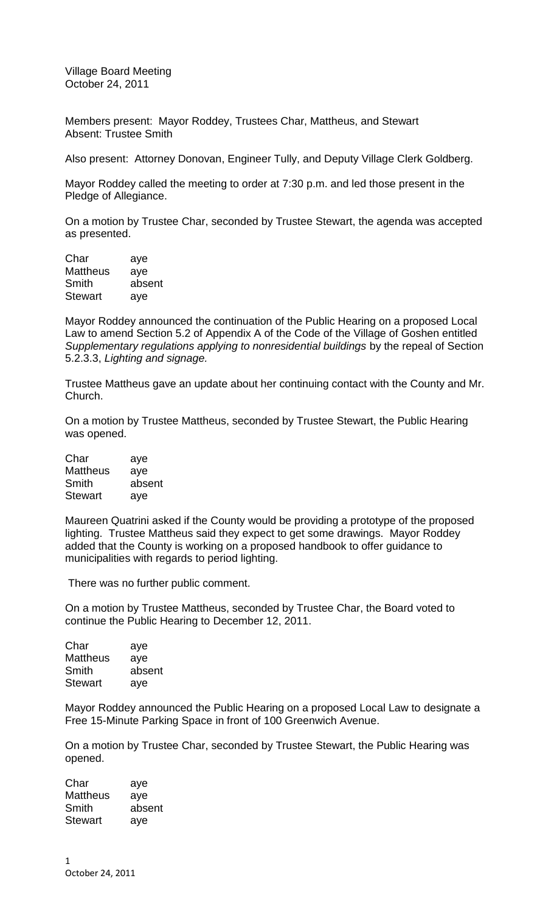Village Board Meeting October 24, 2011

Members present: Mayor Roddey, Trustees Char, Mattheus, and Stewart Absent: Trustee Smith

Also present: Attorney Donovan, Engineer Tully, and Deputy Village Clerk Goldberg.

Mayor Roddey called the meeting to order at 7:30 p.m. and led those present in the Pledge of Allegiance.

On a motion by Trustee Char, seconded by Trustee Stewart, the agenda was accepted as presented.

| Char           | aye    |
|----------------|--------|
| Mattheus       | aye    |
| Smith          | absent |
| <b>Stewart</b> | aye    |

Mayor Roddey announced the continuation of the Public Hearing on a proposed Local Law to amend Section 5.2 of Appendix A of the Code of the Village of Goshen entitled *Supplementary regulations applying to nonresidential buildings* by the repeal of Section 5.2.3.3, *Lighting and signage.* 

Trustee Mattheus gave an update about her continuing contact with the County and Mr. Church.

On a motion by Trustee Mattheus, seconded by Trustee Stewart, the Public Hearing was opened.

| Char            | aye    |
|-----------------|--------|
| <b>Mattheus</b> | aye    |
| Smith           | absent |
| <b>Stewart</b>  | aye    |

Maureen Quatrini asked if the County would be providing a prototype of the proposed lighting. Trustee Mattheus said they expect to get some drawings. Mayor Roddey added that the County is working on a proposed handbook to offer guidance to municipalities with regards to period lighting.

There was no further public comment.

On a motion by Trustee Mattheus, seconded by Trustee Char, the Board voted to continue the Public Hearing to December 12, 2011.

| Char            | aye    |
|-----------------|--------|
| <b>Mattheus</b> | aye    |
| Smith           | absent |
| <b>Stewart</b>  | aye    |

Mayor Roddey announced the Public Hearing on a proposed Local Law to designate a Free 15-Minute Parking Space in front of 100 Greenwich Avenue.

On a motion by Trustee Char, seconded by Trustee Stewart, the Public Hearing was opened.

Char aye Mattheus aye Smith absent Stewart aye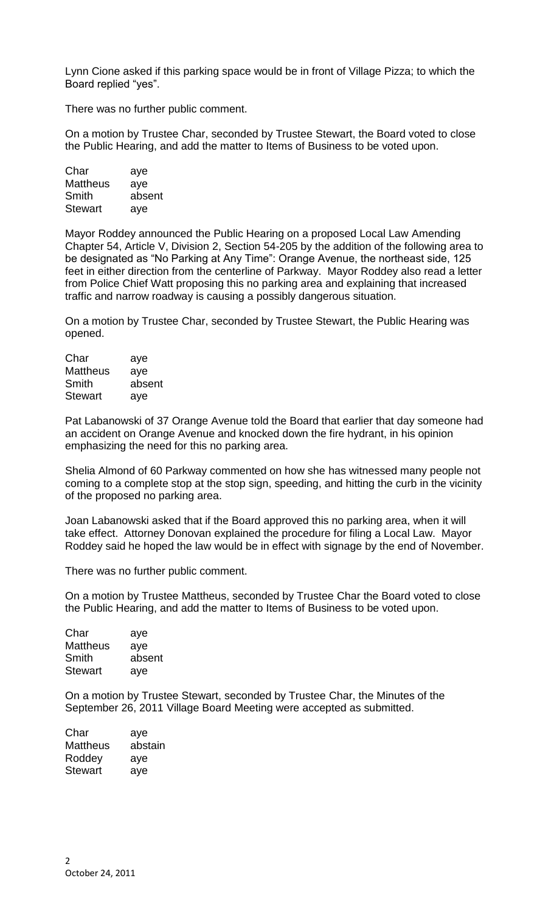Lynn Cione asked if this parking space would be in front of Village Pizza; to which the Board replied "yes".

There was no further public comment.

On a motion by Trustee Char, seconded by Trustee Stewart, the Board voted to close the Public Hearing, and add the matter to Items of Business to be voted upon.

| Char            | aye    |
|-----------------|--------|
| <b>Mattheus</b> | aye    |
| Smith           | absent |
| <b>Stewart</b>  | aye    |

Mayor Roddey announced the Public Hearing on a proposed Local Law Amending Chapter 54, Article V, Division 2, Section 54-205 by the addition of the following area to be designated as "No Parking at Any Time": Orange Avenue, the northeast side, 125 feet in either direction from the centerline of Parkway. Mayor Roddey also read a letter from Police Chief Watt proposing this no parking area and explaining that increased traffic and narrow roadway is causing a possibly dangerous situation.

On a motion by Trustee Char, seconded by Trustee Stewart, the Public Hearing was opened.

| aye    |
|--------|
| aye    |
| absent |
| aye    |
|        |

Pat Labanowski of 37 Orange Avenue told the Board that earlier that day someone had an accident on Orange Avenue and knocked down the fire hydrant, in his opinion emphasizing the need for this no parking area.

Shelia Almond of 60 Parkway commented on how she has witnessed many people not coming to a complete stop at the stop sign, speeding, and hitting the curb in the vicinity of the proposed no parking area.

Joan Labanowski asked that if the Board approved this no parking area, when it will take effect. Attorney Donovan explained the procedure for filing a Local Law. Mayor Roddey said he hoped the law would be in effect with signage by the end of November.

There was no further public comment.

On a motion by Trustee Mattheus, seconded by Trustee Char the Board voted to close the Public Hearing, and add the matter to Items of Business to be voted upon.

| Char            | aye    |
|-----------------|--------|
| <b>Mattheus</b> | aye    |
| Smith           | absent |
| <b>Stewart</b>  | aye    |

On a motion by Trustee Stewart, seconded by Trustee Char, the Minutes of the September 26, 2011 Village Board Meeting were accepted as submitted.

| Char            | aye     |
|-----------------|---------|
| <b>Mattheus</b> | abstain |
| Roddey          | aye     |
| Stewart         | aye     |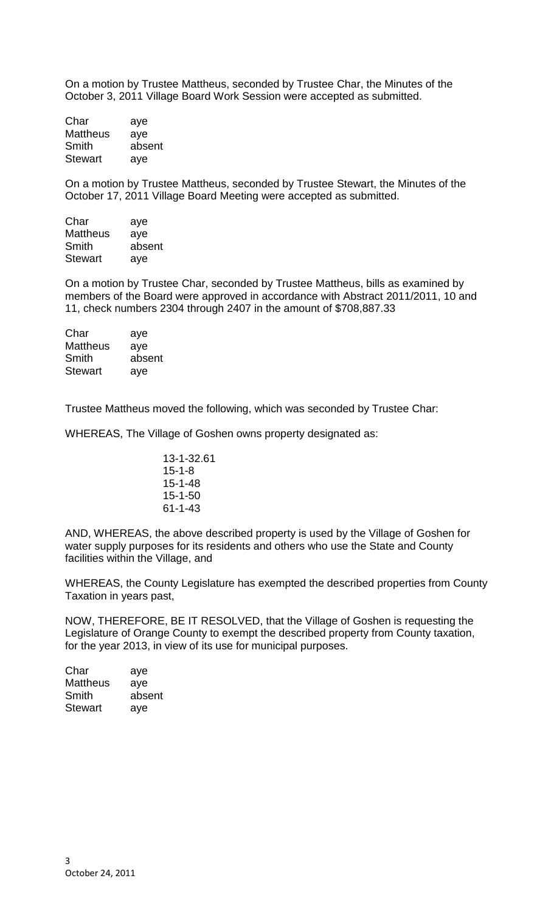On a motion by Trustee Mattheus, seconded by Trustee Char, the Minutes of the October 3, 2011 Village Board Work Session were accepted as submitted.

| Char           | aye    |
|----------------|--------|
| Mattheus       | aye    |
| Smith          | absent |
| <b>Stewart</b> | aye    |

On a motion by Trustee Mattheus, seconded by Trustee Stewart, the Minutes of the October 17, 2011 Village Board Meeting were accepted as submitted.

| Char            | aye    |
|-----------------|--------|
| <b>Mattheus</b> | aye    |
| Smith           | absent |
| <b>Stewart</b>  | aye    |
|                 |        |

On a motion by Trustee Char, seconded by Trustee Mattheus, bills as examined by members of the Board were approved in accordance with Abstract 2011/2011, 10 and 11, check numbers 2304 through 2407 in the amount of \$708,887.33

| Char           | aye    |
|----------------|--------|
| Mattheus       | aye    |
| Smith          | absent |
| <b>Stewart</b> | aye    |

Trustee Mattheus moved the following, which was seconded by Trustee Char:

WHEREAS, The Village of Goshen owns property designated as:

| 13-1-32.61 |
|------------|
| 15-1-8     |
| 15-1-48    |
| 15-1-50    |
| 61-1-43    |

AND, WHEREAS, the above described property is used by the Village of Goshen for water supply purposes for its residents and others who use the State and County facilities within the Village, and

WHEREAS, the County Legislature has exempted the described properties from County Taxation in years past,

NOW, THEREFORE, BE IT RESOLVED, that the Village of Goshen is requesting the Legislature of Orange County to exempt the described property from County taxation, for the year 2013, in view of its use for municipal purposes.

| Char            | aye    |
|-----------------|--------|
| <b>Mattheus</b> | aye    |
| Smith           | absent |
| <b>Stewart</b>  | aye    |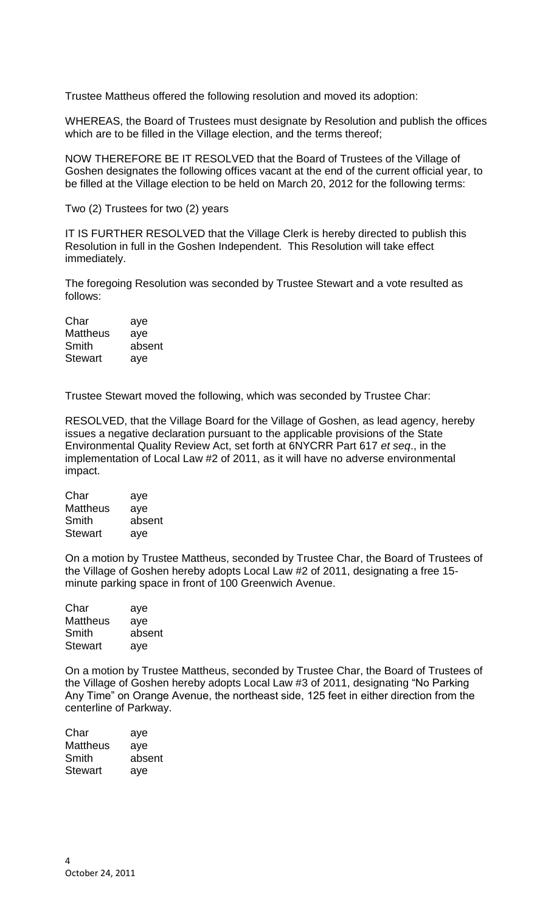Trustee Mattheus offered the following resolution and moved its adoption:

WHEREAS, the Board of Trustees must designate by Resolution and publish the offices which are to be filled in the Village election, and the terms thereof;

NOW THEREFORE BE IT RESOLVED that the Board of Trustees of the Village of Goshen designates the following offices vacant at the end of the current official year, to be filled at the Village election to be held on March 20, 2012 for the following terms:

Two (2) Trustees for two (2) years

IT IS FURTHER RESOLVED that the Village Clerk is hereby directed to publish this Resolution in full in the Goshen Independent. This Resolution will take effect immediately.

The foregoing Resolution was seconded by Trustee Stewart and a vote resulted as follows:

| Char            | aye    |
|-----------------|--------|
| <b>Mattheus</b> | aye    |
| Smith           | absent |
| <b>Stewart</b>  | aye    |

Trustee Stewart moved the following, which was seconded by Trustee Char:

RESOLVED, that the Village Board for the Village of Goshen, as lead agency, hereby issues a negative declaration pursuant to the applicable provisions of the State Environmental Quality Review Act, set forth at 6NYCRR Part 617 *et seq*., in the implementation of Local Law #2 of 2011, as it will have no adverse environmental impact.

| Char            | aye    |
|-----------------|--------|
| <b>Mattheus</b> | aye    |
| Smith           | absent |
| <b>Stewart</b>  | aye    |

On a motion by Trustee Mattheus, seconded by Trustee Char, the Board of Trustees of the Village of Goshen hereby adopts Local Law #2 of 2011, designating a free 15 minute parking space in front of 100 Greenwich Avenue.

| Char            | aye    |
|-----------------|--------|
| <b>Mattheus</b> | aye    |
| Smith           | absent |
| Stewart         | aye    |

On a motion by Trustee Mattheus, seconded by Trustee Char, the Board of Trustees of the Village of Goshen hereby adopts Local Law #3 of 2011, designating "No Parking Any Time" on Orange Avenue, the northeast side, 125 feet in either direction from the centerline of Parkway.

| Char           | aye    |
|----------------|--------|
| Mattheus       | aye    |
| Smith          | absent |
| <b>Stewart</b> | aye    |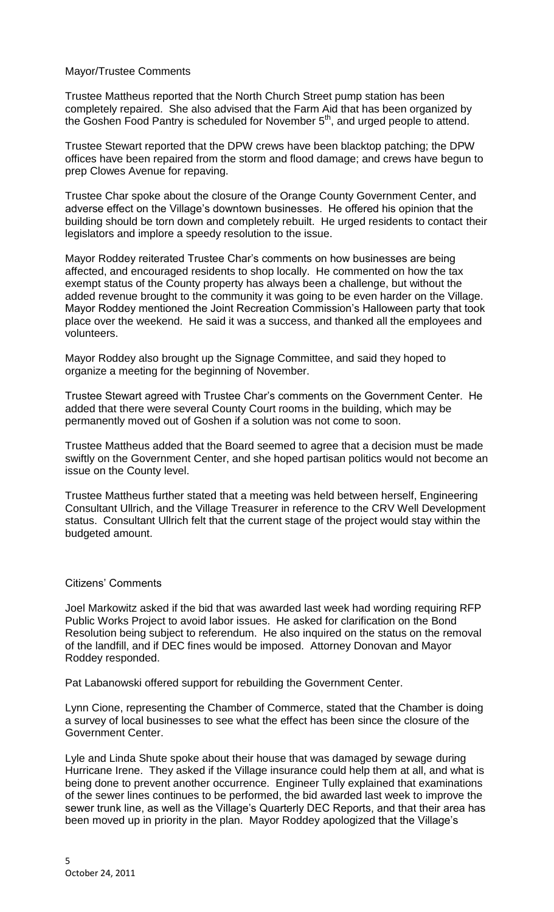## Mayor/Trustee Comments

Trustee Mattheus reported that the North Church Street pump station has been completely repaired. She also advised that the Farm Aid that has been organized by the Goshen Food Pantry is scheduled for November 5<sup>th</sup>, and urged people to attend.

Trustee Stewart reported that the DPW crews have been blacktop patching; the DPW offices have been repaired from the storm and flood damage; and crews have begun to prep Clowes Avenue for repaving.

Trustee Char spoke about the closure of the Orange County Government Center, and adverse effect on the Village's downtown businesses. He offered his opinion that the building should be torn down and completely rebuilt. He urged residents to contact their legislators and implore a speedy resolution to the issue.

Mayor Roddey reiterated Trustee Char's comments on how businesses are being affected, and encouraged residents to shop locally. He commented on how the tax exempt status of the County property has always been a challenge, but without the added revenue brought to the community it was going to be even harder on the Village. Mayor Roddey mentioned the Joint Recreation Commission's Halloween party that took place over the weekend. He said it was a success, and thanked all the employees and volunteers.

Mayor Roddey also brought up the Signage Committee, and said they hoped to organize a meeting for the beginning of November.

Trustee Stewart agreed with Trustee Char's comments on the Government Center. He added that there were several County Court rooms in the building, which may be permanently moved out of Goshen if a solution was not come to soon.

Trustee Mattheus added that the Board seemed to agree that a decision must be made swiftly on the Government Center, and she hoped partisan politics would not become an issue on the County level.

Trustee Mattheus further stated that a meeting was held between herself, Engineering Consultant Ullrich, and the Village Treasurer in reference to the CRV Well Development status. Consultant Ullrich felt that the current stage of the project would stay within the budgeted amount.

## Citizens' Comments

Joel Markowitz asked if the bid that was awarded last week had wording requiring RFP Public Works Project to avoid labor issues. He asked for clarification on the Bond Resolution being subject to referendum. He also inquired on the status on the removal of the landfill, and if DEC fines would be imposed. Attorney Donovan and Mayor Roddey responded.

Pat Labanowski offered support for rebuilding the Government Center.

Lynn Cione, representing the Chamber of Commerce, stated that the Chamber is doing a survey of local businesses to see what the effect has been since the closure of the Government Center.

Lyle and Linda Shute spoke about their house that was damaged by sewage during Hurricane Irene. They asked if the Village insurance could help them at all, and what is being done to prevent another occurrence. Engineer Tully explained that examinations of the sewer lines continues to be performed, the bid awarded last week to improve the sewer trunk line, as well as the Village's Quarterly DEC Reports, and that their area has been moved up in priority in the plan. Mayor Roddey apologized that the Village's